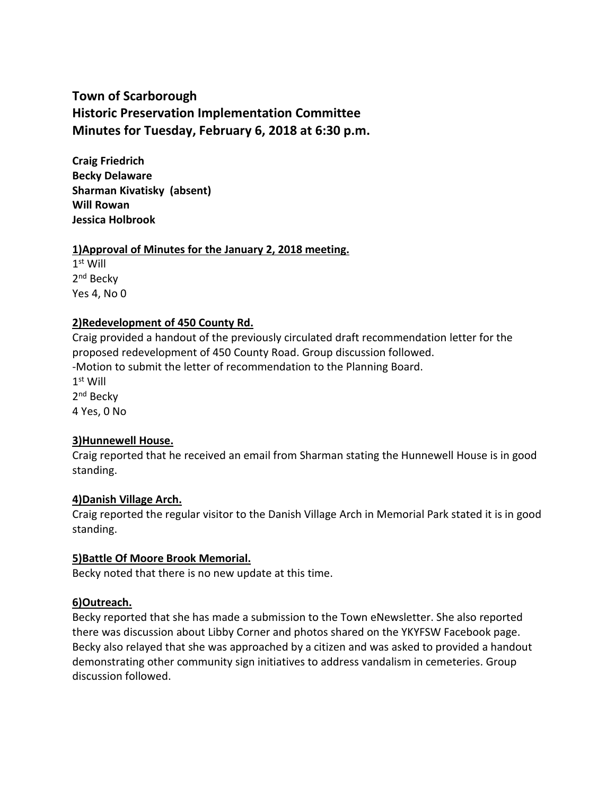# **Town of Scarborough Historic Preservation Implementation Committee Minutes for Tuesday, February 6, 2018 at 6:30 p.m.**

**Craig Friedrich Becky Delaware Sharman Kivatisky (absent) Will Rowan Jessica Holbrook**

### **1)Approval of Minutes for the January 2, 2018 meeting.**

 $1<sup>st</sup>$  Will 2<sup>nd</sup> Becky Yes 4, No 0

# **2)Redevelopment of 450 County Rd.**

Craig provided a handout of the previously circulated draft recommendation letter for the proposed redevelopment of 450 County Road. Group discussion followed. -Motion to submit the letter of recommendation to the Planning Board. 1 st Will 2<sup>nd</sup> Becky 4 Yes, 0 No

# **3)Hunnewell House.**

Craig reported that he received an email from Sharman stating the Hunnewell House is in good standing.

# **4)Danish Village Arch.**

Craig reported the regular visitor to the Danish Village Arch in Memorial Park stated it is in good standing.

# **5)Battle Of Moore Brook Memorial.**

Becky noted that there is no new update at this time.

# **6)Outreach.**

Becky reported that she has made a submission to the Town eNewsletter. She also reported there was discussion about Libby Corner and photos shared on the YKYFSW Facebook page. Becky also relayed that she was approached by a citizen and was asked to provided a handout demonstrating other community sign initiatives to address vandalism in cemeteries. Group discussion followed.